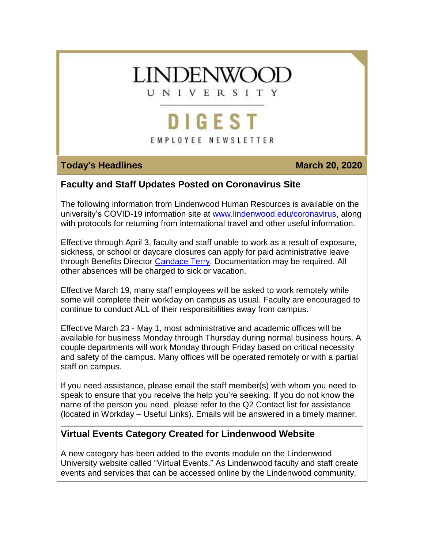# **LINDENWOOI**

UNIVERSITY

# **DIGEST**

# EMPLOYEE NEWSLETTER

## **Today's Headlines March 20, 2020**

# **Faculty and Staff Updates Posted on Coronavirus Site**

The following information from Lindenwood Human Resources is available on the university's COVID-19 information site at [www.lindenwood.edu/coronavirus,](https://hes32-ctp.trendmicro.com/wis/clicktime/v1/query?url=https%3a%2f%2fcustapp.marketvolt.com%2flink%2faIVWFTd2I9%3fCM%3d1482244065%26X%3d70525052&umid=463170c3-f9fe-47bb-9a2c-d82b9746af88&auth=bc7ac43e330fa629f0cfb11786c85e83c10d06b8-351ab689ab57af13f6a5b9286fa98dffc5933229) along with protocols for returning from international travel and other useful information.

Effective through April 3, faculty and staff unable to work as a result of exposure, sickness, or school or daycare closures can apply for paid administrative leave through Benefits Director [Candace Terry.](mailto:cterry@lindenwood.edu) Documentation may be required. All other absences will be charged to sick or vacation.

Effective March 19, many staff employees will be asked to work remotely while some will complete their workday on campus as usual. Faculty are encouraged to continue to conduct ALL of their responsibilities away from campus.

Effective March 23 - May 1, most administrative and academic offices will be available for business Monday through Thursday during normal business hours. A couple departments will work Monday through Friday based on critical necessity and safety of the campus. Many offices will be operated remotely or with a partial staff on campus.

If you need assistance, please email the staff member(s) with whom you need to speak to ensure that you receive the help you're seeking. If you do not know the name of the person you need, please refer to the Q2 Contact list for assistance (located in Workday – Useful Links). Emails will be answered in a timely manner.

# **Virtual Events Category Created for Lindenwood Website**

A new category has been added to the events module on the Lindenwood University website called "Virtual Events." As Lindenwood faculty and staff create events and services that can be accessed online by the Lindenwood community,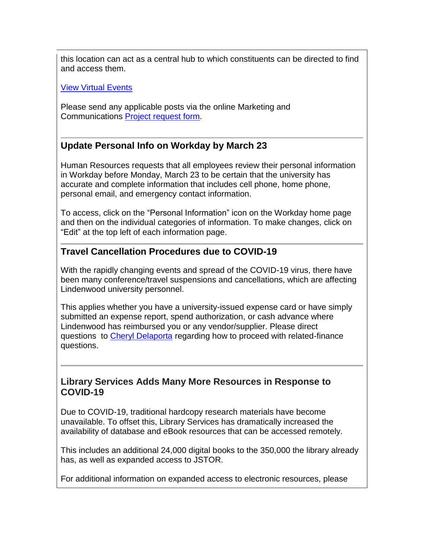this location can act as a central hub to which constituents can be directed to find and access them.

View Virtual [Events](https://hes32-ctp.trendmicro.com/wis/clicktime/v1/query?url=https%3a%2f%2fcustapp.marketvolt.com%2flink%2fT9FC7zRXdc%3fCM%3d1482244065%26X%3d70525052&umid=463170c3-f9fe-47bb-9a2c-d82b9746af88&auth=bc7ac43e330fa629f0cfb11786c85e83c10d06b8-0999514e89db262e17d54b0a52cfb695c165d8c3)

Please send any applicable posts via the online Marketing and Communications Project [request](https://hes32-ctp.trendmicro.com/wis/clicktime/v1/query?url=https%3a%2f%2fcustapp.marketvolt.com%2flink%2fffrfmn5lVR%3fCM%3d1482244065%26X%3d70525052&umid=463170c3-f9fe-47bb-9a2c-d82b9746af88&auth=bc7ac43e330fa629f0cfb11786c85e83c10d06b8-016319cd0fce05a83a9f1bedab7b395f75c05835) form.

# **Update Personal Info on Workday by March 23**

Human Resources requests that all employees review their personal information in Workday before Monday, March 23 to be certain that the university has accurate and complete information that includes cell phone, home phone, personal email, and emergency contact information.

To access, click on the "Personal Information" icon on the Workday home page and then on the individual categories of information. To make changes, click on "Edit" at the top left of each information page.

#### **Travel Cancellation Procedures due to COVID-19**

With the rapidly changing events and spread of the COVID-19 virus, there have been many conference/travel suspensions and cancellations, which are affecting Lindenwood university personnel.

This applies whether you have a university-issued expense card or have simply submitted an expense report, spend authorization, or cash advance where Lindenwood has reimbursed you or any vendor/supplier. Please direct questions to [Cheryl Delaporta](mailto:cdelaporta@lindenwood.edu) regarding how to proceed with related-finance questions.

#### **Library Services Adds Many More Resources in Response to COVID-19**

Due to COVID-19, traditional hardcopy research materials have become unavailable. To offset this, Library Services has dramatically increased the availability of database and eBook resources that can be accessed remotely.

This includes an additional 24,000 digital books to the 350,000 the library already has, as well as expanded access to JSTOR.

For additional information on expanded access to electronic resources, please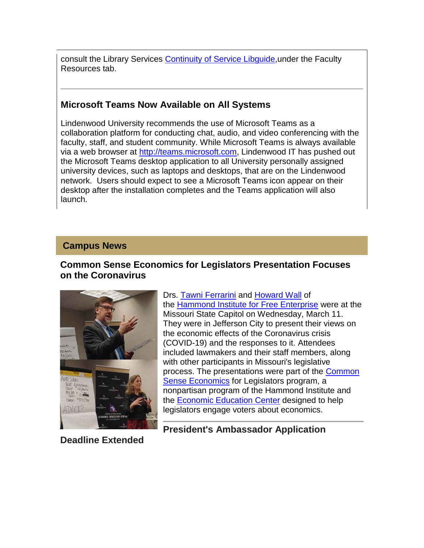consult the Library Services [Continuity of Service Libguide,](https://hes32-ctp.trendmicro.com/wis/clicktime/v1/query?url=https%3a%2f%2fcustapp.marketvolt.com%2flink%2fYZPkwUcmd1%3fCM%3d1482244065%26X%3d70525052&umid=463170c3-f9fe-47bb-9a2c-d82b9746af88&auth=bc7ac43e330fa629f0cfb11786c85e83c10d06b8-3c82152aae6cb57f1eb085cebda0c7730e170b2a)under the Faculty Resources tab.

## **Microsoft Teams Now Available on All Systems**

Lindenwood University recommends the use of Microsoft Teams as a collaboration platform for conducting chat, audio, and video conferencing with the faculty, staff, and student community. While Microsoft Teams is always available via a web browser at [http://teams.microsoft.com,](https://hes32-ctp.trendmicro.com/wis/clicktime/v1/query?url=https%3a%2f%2fcustapp.marketvolt.com%2flink%2fRfLoFpLHIC%3fCM%3d1482244065%26X%3d70525052&umid=463170c3-f9fe-47bb-9a2c-d82b9746af88&auth=bc7ac43e330fa629f0cfb11786c85e83c10d06b8-22bdc659eebbf8a1197b374fdb8c50e97ce00428) Lindenwood IT has pushed out the Microsoft Teams desktop application to all University personally assigned university devices, such as laptops and desktops, that are on the Lindenwood network. Users should expect to see a Microsoft Teams icon appear on their desktop after the installation completes and the Teams application will also launch.

#### **Campus News**

### **Common Sense Economics for Legislators Presentation Focuses on the Coronavirus**



Drs. [Tawni Ferrarini](https://hes32-ctp.trendmicro.com/wis/clicktime/v1/query?url=https%3a%2f%2fcustapp.marketvolt.com%2flink%2fQ42wrZRWuR%3fCM%3d1482244065%26X%3d70525052&umid=463170c3-f9fe-47bb-9a2c-d82b9746af88&auth=bc7ac43e330fa629f0cfb11786c85e83c10d06b8-e8d0fdea0e46f9ef514d5ca7ad5486a62fd2724a) and [Howard Wall](https://hes32-ctp.trendmicro.com/wis/clicktime/v1/query?url=https%3a%2f%2fcustapp.marketvolt.com%2flink%2fIVrBlcXZ8x%3fCM%3d1482244065%26X%3d70525052&umid=463170c3-f9fe-47bb-9a2c-d82b9746af88&auth=bc7ac43e330fa629f0cfb11786c85e83c10d06b8-3fc7a11a5f0b025738b7d7ac8cd3fc7f40e11491) of the [Hammond Institute for Free Enterprise](https://hes32-ctp.trendmicro.com/wis/clicktime/v1/query?url=https%3a%2f%2fcustapp.marketvolt.com%2flink%2ft7PFFGsd4D%3fCM%3d1482244065%26X%3d70525052&umid=463170c3-f9fe-47bb-9a2c-d82b9746af88&auth=bc7ac43e330fa629f0cfb11786c85e83c10d06b8-03044b6209dad140a22b21098fde792f38855d5a) were at the Missouri State Capitol on Wednesday, March 11. They were in Jefferson City to present their views on the economic effects of the Coronavirus crisis (COVID-19) and the responses to it. Attendees included lawmakers and their staff members, along with other participants in Missouri's legislative process. The presentations were part of the [Common](https://hes32-ctp.trendmicro.com/wis/clicktime/v1/query?url=https%3a%2f%2fcustapp.marketvolt.com%2flink%2fSbWPAcmKnU%3fCM%3d1482244065%26X%3d70525052&umid=463170c3-f9fe-47bb-9a2c-d82b9746af88&auth=bc7ac43e330fa629f0cfb11786c85e83c10d06b8-997abd562df0bd88f32371c1efca74fa0f30fc52)  [Sense Economics](https://hes32-ctp.trendmicro.com/wis/clicktime/v1/query?url=https%3a%2f%2fcustapp.marketvolt.com%2flink%2fSbWPAcmKnU%3fCM%3d1482244065%26X%3d70525052&umid=463170c3-f9fe-47bb-9a2c-d82b9746af88&auth=bc7ac43e330fa629f0cfb11786c85e83c10d06b8-997abd562df0bd88f32371c1efca74fa0f30fc52) for Legislators program, a nonpartisan program of the Hammond Institute and the [Economic Education Center](https://hes32-ctp.trendmicro.com/wis/clicktime/v1/query?url=https%3a%2f%2fcustapp.marketvolt.com%2flink%2fQdYhRCW1ya%3fCM%3d1482244065%26X%3d70525052&umid=463170c3-f9fe-47bb-9a2c-d82b9746af88&auth=bc7ac43e330fa629f0cfb11786c85e83c10d06b8-873540b35419b449ef585e312b8431a76fd198b2) designed to help legislators engage voters about economics.

**Deadline Extended**

**President's Ambassador Application**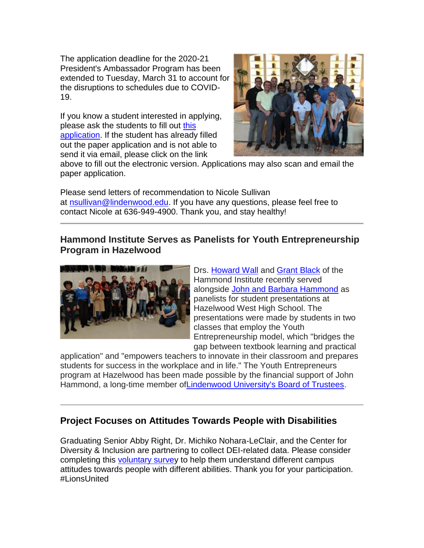The application deadline for the 2020-21 President's Ambassador Program has been extended to Tuesday, March 31 to account for the disruptions to schedules due to COVID-19.

If you know a student interested in applying, please ask the students to fill out [this](https://hes32-ctp.trendmicro.com/wis/clicktime/v1/query?url=https%3a%2f%2fcustapp.marketvolt.com%2flink%2fzKpoWmurY8%3fCM%3d1482244065%26X%3d70525052&umid=463170c3-f9fe-47bb-9a2c-d82b9746af88&auth=bc7ac43e330fa629f0cfb11786c85e83c10d06b8-a59724f80f0e07e3685e014cb07e3ddc3aa3dd64)  [application.](https://hes32-ctp.trendmicro.com/wis/clicktime/v1/query?url=https%3a%2f%2fcustapp.marketvolt.com%2flink%2fzKpoWmurY8%3fCM%3d1482244065%26X%3d70525052&umid=463170c3-f9fe-47bb-9a2c-d82b9746af88&auth=bc7ac43e330fa629f0cfb11786c85e83c10d06b8-a59724f80f0e07e3685e014cb07e3ddc3aa3dd64) If the student has already filled out the paper application and is not able to send it via email, please click on the link



above to fill out the electronic version. Applications may also scan and email the paper application.

Please send letters of recommendation to Nicole Sullivan at [nsullivan@lindenwood.edu.](mailto:nsullivan@lindenwood.edu) If you have any questions, please feel free to contact Nicole at 636-949-4900. Thank you, and stay healthy!

#### **Hammond Institute Serves as Panelists for Youth Entrepreneurship Program in Hazelwood**



Drs. [Howard Wall](https://hes32-ctp.trendmicro.com/wis/clicktime/v1/query?url=https%3a%2f%2fcustapp.marketvolt.com%2flink%2fIVrBlcXZ8x%3fCM%3d1482244065%26X%3d70525052&umid=463170c3-f9fe-47bb-9a2c-d82b9746af88&auth=bc7ac43e330fa629f0cfb11786c85e83c10d06b8-3fc7a11a5f0b025738b7d7ac8cd3fc7f40e11491) and [Grant Black](https://hes32-ctp.trendmicro.com/wis/clicktime/v1/query?url=https%3a%2f%2fcustapp.marketvolt.com%2flink%2ffFL9HRv3b4%3fCM%3d1482244065%26X%3d70525052&umid=463170c3-f9fe-47bb-9a2c-d82b9746af88&auth=bc7ac43e330fa629f0cfb11786c85e83c10d06b8-343a7f109e34b441149eb5de96c85eddaa30be1a) of the Hammond Institute recently served alongside [John and Barbara Hammond](https://hes32-ctp.trendmicro.com/wis/clicktime/v1/query?url=https%3a%2f%2fcustapp.marketvolt.com%2flink%2fCiMEoUKrGW%3fCM%3d1482244065%26X%3d70525052&umid=463170c3-f9fe-47bb-9a2c-d82b9746af88&auth=bc7ac43e330fa629f0cfb11786c85e83c10d06b8-7fc8342fd028dc662881577565797637c7d9acb9) as panelists for student presentations at Hazelwood West High School. The presentations were made by students in two classes that employ the Youth Entrepreneurship model, which "bridges the gap between textbook learning and practical

application" and "empowers teachers to innovate in their classroom and prepares students for success in the workplace and in life." The Youth Entrepreneurs program at Hazelwood has been made possible by the financial support of John Hammond, a long-time member o[fLindenwood University's Board of Trustees.](https://hes32-ctp.trendmicro.com/wis/clicktime/v1/query?url=https%3a%2f%2fcustapp.marketvolt.com%2flink%2fZiuKSw5Qds%3fCM%3d1482244065%26X%3d70525052&umid=463170c3-f9fe-47bb-9a2c-d82b9746af88&auth=bc7ac43e330fa629f0cfb11786c85e83c10d06b8-fa469a1b4b1df7a7ad31a5f4204bfb225a49bfd1)

### **Project Focuses on Attitudes Towards People with Disabilities**

Graduating Senior Abby Right, Dr. Michiko Nohara-LeClair, and the Center for Diversity & Inclusion are partnering to collect DEI-related data. Please consider completing this [voluntary survey](https://hes32-ctp.trendmicro.com/wis/clicktime/v1/query?url=https%3a%2f%2fcustapp.marketvolt.com%2flink%2f6VHsmLsYax%3fCM%3d1482244065%26X%3d70525052&umid=463170c3-f9fe-47bb-9a2c-d82b9746af88&auth=bc7ac43e330fa629f0cfb11786c85e83c10d06b8-bcc14e5da1b343385eefc3d51dbd2557b8b95c22) to help them understand different campus attitudes towards people with different abilities. Thank you for your participation. #LionsUnited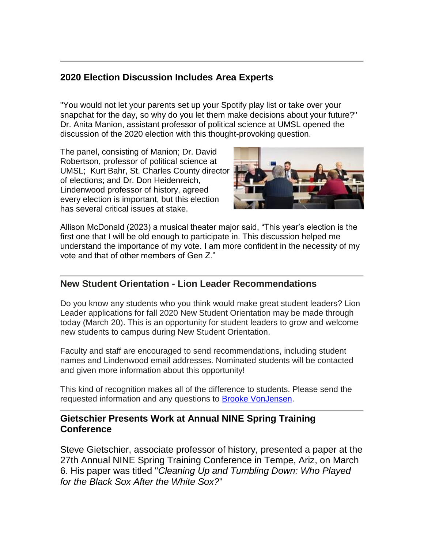# **2020 Election Discussion Includes Area Experts**

"You would not let your parents set up your Spotify play list or take over your snapchat for the day, so why do you let them make decisions about your future?" Dr. Anita Manion, assistant professor of political science at UMSL opened the discussion of the 2020 election with this thought-provoking question.

The panel, consisting of Manion; Dr. David Robertson, professor of political science at UMSL; Kurt Bahr, St. Charles County director of elections; and Dr. Don Heidenreich, Lindenwood professor of history, agreed every election is important, but this election has several critical issues at stake.



Allison McDonald (2023) a musical theater major said, "This year's election is the first one that I will be old enough to participate in. This discussion helped me understand the importance of my vote. I am more confident in the necessity of my vote and that of other members of Gen Z."

### **New Student Orientation - Lion Leader Recommendations**

Do you know any students who you think would make great student leaders? Lion Leader applications for fall 2020 New Student Orientation may be made through today (March 20). This is an opportunity for student leaders to grow and welcome new students to campus during New Student Orientation.

Faculty and staff are encouraged to send recommendations, including student names and Lindenwood email addresses. Nominated students will be contacted and given more information about this opportunity!

This kind of recognition makes all of the difference to students. Please send the requested information and any questions to **Brooke VonJensen**.

#### **Gietschier Presents Work at Annual NINE Spring Training Conference**

Steve Gietschier, associate professor of history, presented a paper at the 27th Annual NINE Spring Training Conference in Tempe, Ariz, on March 6. His paper was titled "*Cleaning Up and Tumbling Down: Who Played for the Black Sox After the White Sox?*"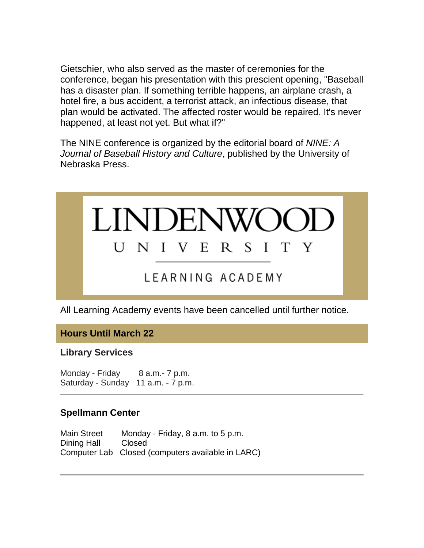Gietschier, who also served as the master of ceremonies for the conference, began his presentation with this prescient opening, "Baseball has a disaster plan. If something terrible happens, an airplane crash, a hotel fire, a bus accident, a terrorist attack, an infectious disease, that plan would be activated. The affected roster would be repaired. It's never happened, at least not yet. But what if?"

The NINE conference is organized by the editorial board of *NINE: A Journal of Baseball History and Culture*, published by the University of Nebraska Press.



All Learning Academy events have been cancelled until further notice.

**Hours Until March 22**

**Library Services**

Monday - Friday 8 a.m. - 7 p.m. Saturday - Sunday 11 a.m. - 7 p.m.

# **Spellmann Center**

Main Street Monday - Friday, 8 a.m. to 5 p.m. Dining Hall Closed Computer Lab Closed (computers available in LARC)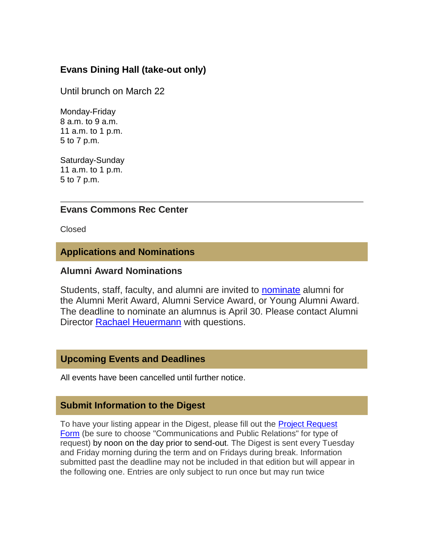# **Evans Dining Hall (take-out only)**

Until brunch on March 22

Monday-Friday 8 a.m. to 9 a.m. 11 a.m. to 1 p.m. 5 to 7 p.m.

Saturday-Sunday 11 a.m. to 1 p.m. 5 to 7 p.m.

#### **Evans Commons Rec Center**

Closed

#### **Applications and Nominations**

#### **Alumni Award Nominations**

Students, staff, faculty, and alumni are invited to [nominate](https://hes32-ctp.trendmicro.com/wis/clicktime/v1/query?url=https%3a%2f%2fcustapp.marketvolt.com%2flink%2ficigscyk8X%3fCM%3d1482244065%26X%3d70525052&umid=463170c3-f9fe-47bb-9a2c-d82b9746af88&auth=bc7ac43e330fa629f0cfb11786c85e83c10d06b8-60038a5ba6fe0cb5da65b5367be957ec4c0ec61a) alumni for the Alumni Merit Award, Alumni Service Award, or Young Alumni Award. The deadline to nominate an alumnus is April 30. Please contact Alumni Director **[Rachael Heuermann](mailto:rheuermann@lindenwood.edu)** with questions.

#### **Upcoming Events and Deadlines**

All events have been cancelled until further notice.

#### **Submit Information to the Digest**

To have your listing appear in the Digest, please fill out the [Project Request](https://hes32-ctp.trendmicro.com/wis/clicktime/v1/query?url=https%3a%2f%2fcustapp.marketvolt.com%2flink%2fffrfmn5lVR%3fCM%3d1482244065%26X%3d70525052&umid=463170c3-f9fe-47bb-9a2c-d82b9746af88&auth=bc7ac43e330fa629f0cfb11786c85e83c10d06b8-016319cd0fce05a83a9f1bedab7b395f75c05835)  [Form](https://hes32-ctp.trendmicro.com/wis/clicktime/v1/query?url=https%3a%2f%2fcustapp.marketvolt.com%2flink%2fffrfmn5lVR%3fCM%3d1482244065%26X%3d70525052&umid=463170c3-f9fe-47bb-9a2c-d82b9746af88&auth=bc7ac43e330fa629f0cfb11786c85e83c10d06b8-016319cd0fce05a83a9f1bedab7b395f75c05835) (be sure to choose "Communications and Public Relations" for type of request) by noon on the day prior to send-out. The Digest is sent every Tuesday and Friday morning during the term and on Fridays during break. Information submitted past the deadline may not be included in that edition but will appear in the following one. Entries are only subject to run once but may run twice